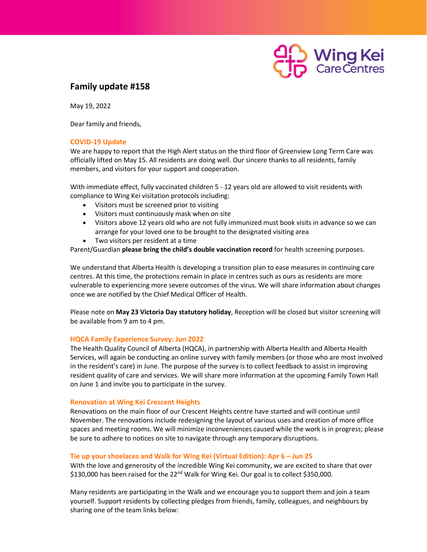

# **Family update #158**

May 19, 2022

Dear family and friends,

## **COVID-19 Update**

We are happy to report that the High Alert status on the third floor of Greenview Long Term Care was officially lifted on May 15. All residents are doing well. Our sincere thanks to all residents, family members, and visitors for your support and cooperation.

With immediate effect, fully vaccinated children 5 - 12 years old are allowed to visit residents with compliance to Wing Kei visitation protocols including:

- Visitors must be screened prior to visiting
- Visitors must continuously mask when on site
- Visitors above 12 years old who are not fully immunized must book visits in advance so we can arrange for your loved one to be brought to the designated visiting area
- Two visitors per resident at a time

Parent/Guardian **please bring the child's double vaccination record** for health screening purposes.

We understand that Alberta Health is developing a transition plan to ease measures in continuing care centres. At this time, the protections remain in place in centres such as ours as residents are more vulnerable to experiencing more severe outcomes of the virus. We will share information about changes once we are notified by the Chief Medical Officer of Health.

Please note on **May 23 Victoria Day statutory holiday**, Reception will be closed but visitor screening will be available from 9 am to 4 pm.

## **HQCA Family Experience Survey: Jun 2022**

The Health Quality Council of Alberta (HQCA), in partnership with Alberta Health and Alberta Health Services, will again be conducting an online survey with family members (or those who are most involved in the resident's care) in June. The purpose of the survey is to collect feedback to assist in improving resident quality of care and services. We will share more information at the upcoming Family Town Hall on June 1 and invite you to participate in the survey.

## **Renovation at Wing Kei Crescent Heights**

Renovations on the main floor of our Crescent Heights centre have started and will continue until November. The renovations include redesigning the layout of various uses and creation of more office spaces and meeting rooms. We will minimize inconveniences caused while the work is in progress; please be sure to adhere to notices on site to navigate through any temporary disruptions.

## **Tie up your shoelaces and Walk for Wing Kei (Virtual Edition): Apr 6 – Jun 25**

With the love and generosity of the incredible Wing Kei community, we are excited to share that over \$130,000 has been raised for the 22<sup>nd</sup> Walk for Wing Kei. Our goal is to collect \$350,000.

Many residents are participating in the Walk and we encourage you to support them and join a team yourself. Support residents by collecting pledges from friends, family, colleagues, and neighbours by sharing one of the team links below: